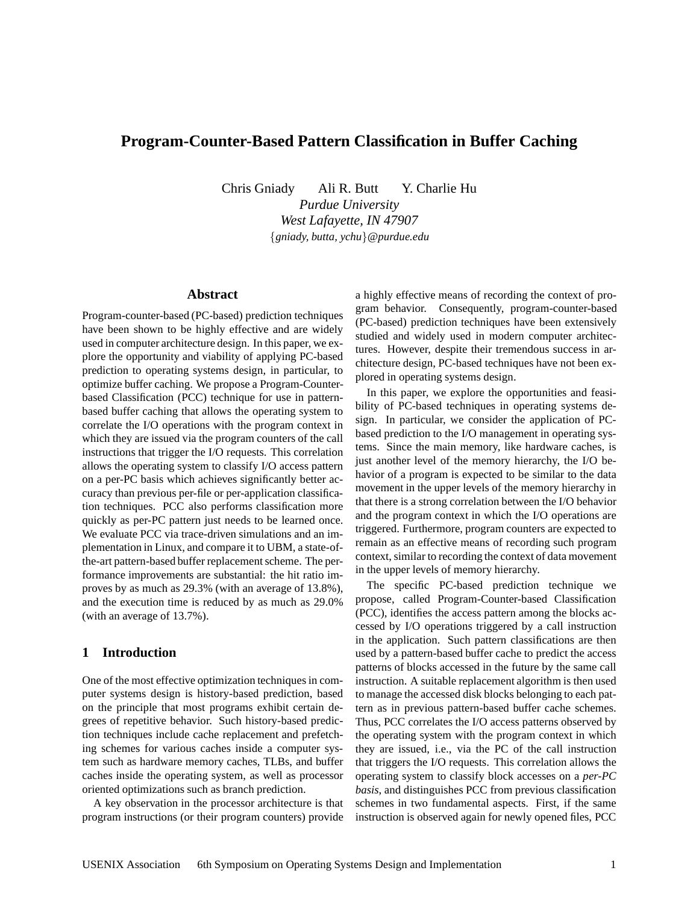# **Program-Counter-Based Pattern Classification in Buffer Caching**

Chris Gniady Ali R. Butt Y. Charlie Hu

*Purdue University West Lafayette, IN 47907* {*gniady, butta, ychu*}*@purdue.edu*

# **Abstract**

Program-counter-based (PC-based) prediction techniques have been shown to be highly effective and are widely used in computer architecture design. In this paper, we explore the opportunity and viability of applying PC-based prediction to operating systems design, in particular, to optimize buffer caching. We propose a Program-Counterbased Classification (PCC) technique for use in patternbased buffer caching that allows the operating system to correlate the I/O operations with the program context in which they are issued via the program counters of the call instructions that trigger the I/O requests. This correlation allows the operating system to classify I/O access pattern on a per-PC basis which achieves significantly better accuracy than previous per-file or per-application classification techniques. PCC also performs classification more quickly as per-PC pattern just needs to be learned once. We evaluate PCC via trace-driven simulations and an implementation in Linux, and compare it to UBM, a state-ofthe-art pattern-based buffer replacement scheme. The performance improvements are substantial: the hit ratio improves by as much as 29.3% (with an average of 13.8%), and the execution time is reduced by as much as 29.0% (with an average of 13.7%).

# **1 Introduction**

One of the most effective optimization techniques in computer systems design is history-based prediction, based on the principle that most programs exhibit certain degrees of repetitive behavior. Such history-based prediction techniques include cache replacement and prefetching schemes for various caches inside a computer system such as hardware memory caches, TLBs, and buffer caches inside the operating system, as well as processor oriented optimizations such as branch prediction.

A key observation in the processor architecture is that program instructions (or their program counters) provide a highly effective means of recording the context of program behavior. Consequently, program-counter-based (PC-based) prediction techniques have been extensively studied and widely used in modern computer architectures. However, despite their tremendous success in architecture design, PC-based techniques have not been explored in operating systems design.

In this paper, we explore the opportunities and feasibility of PC-based techniques in operating systems design. In particular, we consider the application of PCbased prediction to the I/O management in operating systems. Since the main memory, like hardware caches, is just another level of the memory hierarchy, the I/O behavior of a program is expected to be similar to the data movement in the upper levels of the memory hierarchy in that there is a strong correlation between the I/O behavior and the program context in which the I/O operations are triggered. Furthermore, program counters are expected to remain as an effective means of recording such program context, similar to recording the context of data movement in the upper levels of memory hierarchy.

The specific PC-based prediction technique we propose, called Program-Counter-based Classification (PCC), identifies the access pattern among the blocks accessed by I/O operations triggered by a call instruction in the application. Such pattern classifications are then used by a pattern-based buffer cache to predict the access patterns of blocks accessed in the future by the same call instruction. A suitable replacement algorithm is then used to manage the accessed disk blocks belonging to each pattern as in previous pattern-based buffer cache schemes. Thus, PCC correlates the I/O access patterns observed by the operating system with the program context in which they are issued, i.e., via the PC of the call instruction that triggers the I/O requests. This correlation allows the operating system to classify block accesses on a *per-PC basis*, and distinguishes PCC from previous classification schemes in two fundamental aspects. First, if the same instruction is observed again for newly opened files, PCC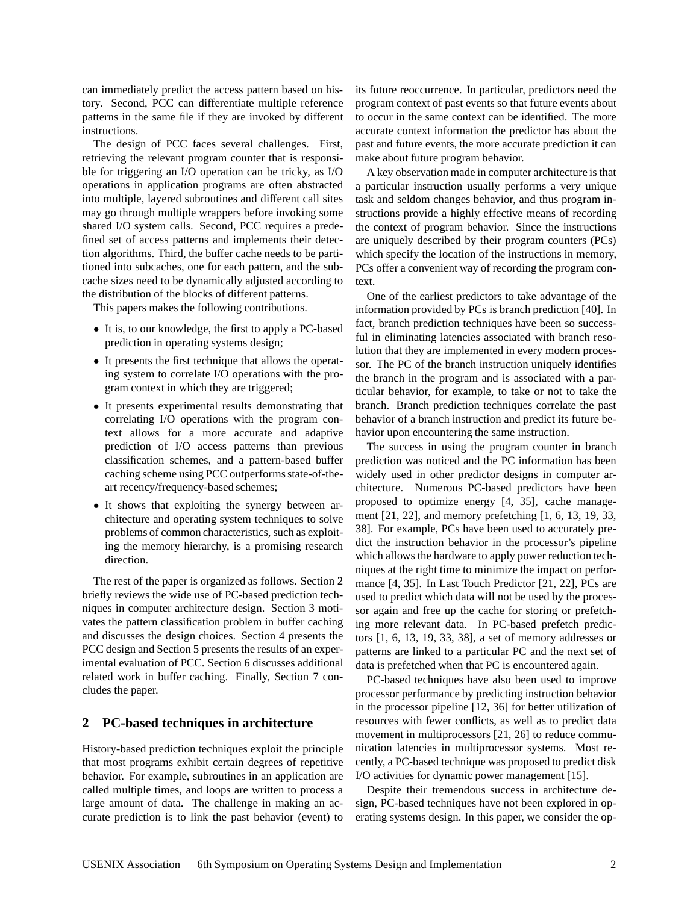can immediately predict the access pattern based on history. Second, PCC can differentiate multiple reference patterns in the same file if they are invoked by different instructions.

The design of PCC faces several challenges. First, retrieving the relevant program counter that is responsible for triggering an I/O operation can be tricky, as I/O operations in application programs are often abstracted into multiple, layered subroutines and different call sites may go through multiple wrappers before invoking some shared I/O system calls. Second, PCC requires a predefined set of access patterns and implements their detection algorithms. Third, the buffer cache needs to be partitioned into subcaches, one for each pattern, and the subcache sizes need to be dynamically adjusted according to the distribution of the blocks of different patterns.

This papers makes the following contributions.

- It is, to our knowledge, the first to apply a PC-based prediction in operating systems design;
- It presents the first technique that allows the operating system to correlate I/O operations with the program context in which they are triggered;
- It presents experimental results demonstrating that correlating I/O operations with the program context allows for a more accurate and adaptive prediction of I/O access patterns than previous classification schemes, and a pattern-based buffer caching scheme using PCC outperforms state-of-theart recency/frequency-based schemes;
- It shows that exploiting the synergy between architecture and operating system techniques to solve problems of common characteristics, such as exploiting the memory hierarchy, is a promising research direction.

The rest of the paper is organized as follows. Section 2 briefly reviews the wide use of PC-based prediction techniques in computer architecture design. Section 3 motivates the pattern classification problem in buffer caching and discusses the design choices. Section 4 presents the PCC design and Section 5 presents the results of an experimental evaluation of PCC. Section 6 discusses additional related work in buffer caching. Finally, Section 7 concludes the paper.

### **2 PC-based techniques in architecture**

History-based prediction techniques exploit the principle that most programs exhibit certain degrees of repetitive behavior. For example, subroutines in an application are called multiple times, and loops are written to process a large amount of data. The challenge in making an accurate prediction is to link the past behavior (event) to

its future reoccurrence. In particular, predictors need the program context of past events so that future events about to occur in the same context can be identified. The more accurate context information the predictor has about the past and future events, the more accurate prediction it can make about future program behavior.

A key observation made in computer architecture is that a particular instruction usually performs a very unique task and seldom changes behavior, and thus program instructions provide a highly effective means of recording the context of program behavior. Since the instructions are uniquely described by their program counters (PCs) which specify the location of the instructions in memory, PCs offer a convenient way of recording the program context.

One of the earliest predictors to take advantage of the information provided by PCs is branch prediction [40]. In fact, branch prediction techniques have been so successful in eliminating latencies associated with branch resolution that they are implemented in every modern processor. The PC of the branch instruction uniquely identifies the branch in the program and is associated with a particular behavior, for example, to take or not to take the branch. Branch prediction techniques correlate the past behavior of a branch instruction and predict its future behavior upon encountering the same instruction.

The success in using the program counter in branch prediction was noticed and the PC information has been widely used in other predictor designs in computer architecture. Numerous PC-based predictors have been proposed to optimize energy [4, 35], cache management [21, 22], and memory prefetching [1, 6, 13, 19, 33, 38]. For example, PCs have been used to accurately predict the instruction behavior in the processor's pipeline which allows the hardware to apply power reduction techniques at the right time to minimize the impact on performance [4, 35]. In Last Touch Predictor [21, 22], PCs are used to predict which data will not be used by the processor again and free up the cache for storing or prefetching more relevant data. In PC-based prefetch predictors [1, 6, 13, 19, 33, 38], a set of memory addresses or patterns are linked to a particular PC and the next set of data is prefetched when that PC is encountered again.

PC-based techniques have also been used to improve processor performance by predicting instruction behavior in the processor pipeline [12, 36] for better utilization of resources with fewer conflicts, as well as to predict data movement in multiprocessors [21, 26] to reduce communication latencies in multiprocessor systems. Most recently, a PC-based technique was proposed to predict disk I/O activities for dynamic power management [15].

Despite their tremendous success in architecture design, PC-based techniques have not been explored in operating systems design. In this paper, we consider the op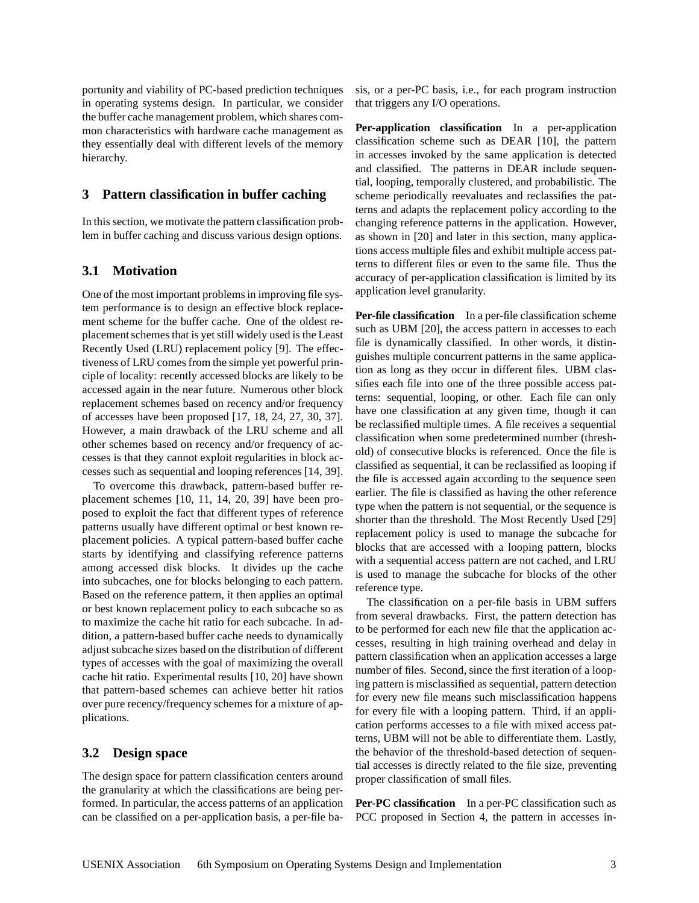portunity and viability of PC-based prediction techniques in operating systems design. In particular, we consider the buffer cache management problem, which shares common characteristics with hardware cache management as they essentially deal with different levels of the memory hierarchy.

#### **3 Pattern classification in buffer caching**

In this section, we motivate the pattern classification problem in buffer caching and discuss various design options.

### **3.1 Motivation**

One of the most important problems in improving file system performance is to design an effective block replacement scheme for the buffer cache. One of the oldest replacement schemes that is yet still widely used is the Least Recently Used (LRU) replacement policy [9]. The effectiveness of LRU comes from the simple yet powerful principle of locality: recently accessed blocks are likely to be accessed again in the near future. Numerous other block replacement schemes based on recency and/or frequency of accesses have been proposed [17, 18, 24, 27, 30, 37]. However, a main drawback of the LRU scheme and all other schemes based on recency and/or frequency of accesses is that they cannot exploit regularities in block accesses such as sequential and looping references [14, 39].

To overcome this drawback, pattern-based buffer replacement schemes [10, 11, 14, 20, 39] have been proposed to exploit the fact that different types of reference patterns usually have different optimal or best known replacement policies. A typical pattern-based buffer cache starts by identifying and classifying reference patterns among accessed disk blocks. It divides up the cache into subcaches, one for blocks belonging to each pattern. Based on the reference pattern, it then applies an optimal or best known replacement policy to each subcache so as to maximize the cache hit ratio for each subcache. In addition, a pattern-based buffer cache needs to dynamically adjust subcache sizes based on the distribution of different types of accesses with the goal of maximizing the overall cache hit ratio. Experimental results [10, 20] have shown that pattern-based schemes can achieve better hit ratios over pure recency/frequency schemes for a mixture of applications.

### **3.2 Design space**

The design space for pattern classification centers around the granularity at which the classifications are being performed. In particular, the access patterns of an application can be classified on a per-application basis, a per-file basis, or a per-PC basis, i.e., for each program instruction that triggers any I/O operations.

**Per-application classification** In a per-application classification scheme such as DEAR [10], the pattern in accesses invoked by the same application is detected and classified. The patterns in DEAR include sequential, looping, temporally clustered, and probabilistic. The scheme periodically reevaluates and reclassifies the patterns and adapts the replacement policy according to the changing reference patterns in the application. However, as shown in [20] and later in this section, many applications access multiple files and exhibit multiple access patterns to different files or even to the same file. Thus the accuracy of per-application classification is limited by its application level granularity.

**Per-file classification** In a per-file classification scheme such as UBM [20], the access pattern in accesses to each file is dynamically classified. In other words, it distinguishes multiple concurrent patterns in the same application as long as they occur in different files. UBM classifies each file into one of the three possible access patterns: sequential, looping, or other. Each file can only have one classification at any given time, though it can be reclassified multiple times. A file receives a sequential classification when some predetermined number (threshold) of consecutive blocks is referenced. Once the file is classified as sequential, it can be reclassified as looping if the file is accessed again according to the sequence seen earlier. The file is classified as having the other reference type when the pattern is not sequential, or the sequence is shorter than the threshold. The Most Recently Used [29] replacement policy is used to manage the subcache for blocks that are accessed with a looping pattern, blocks with a sequential access pattern are not cached, and LRU is used to manage the subcache for blocks of the other reference type.

The classification on a per-file basis in UBM suffers from several drawbacks. First, the pattern detection has to be performed for each new file that the application accesses, resulting in high training overhead and delay in pattern classification when an application accesses a large number of files. Second, since the first iteration of a looping pattern is misclassified as sequential, pattern detection for every new file means such misclassification happens for every file with a looping pattern. Third, if an application performs accesses to a file with mixed access patterns, UBM will not be able to differentiate them. Lastly, the behavior of the threshold-based detection of sequential accesses is directly related to the file size, preventing proper classification of small files.

**Per-PC classification** In a per-PC classification such as PCC proposed in Section 4, the pattern in accesses in-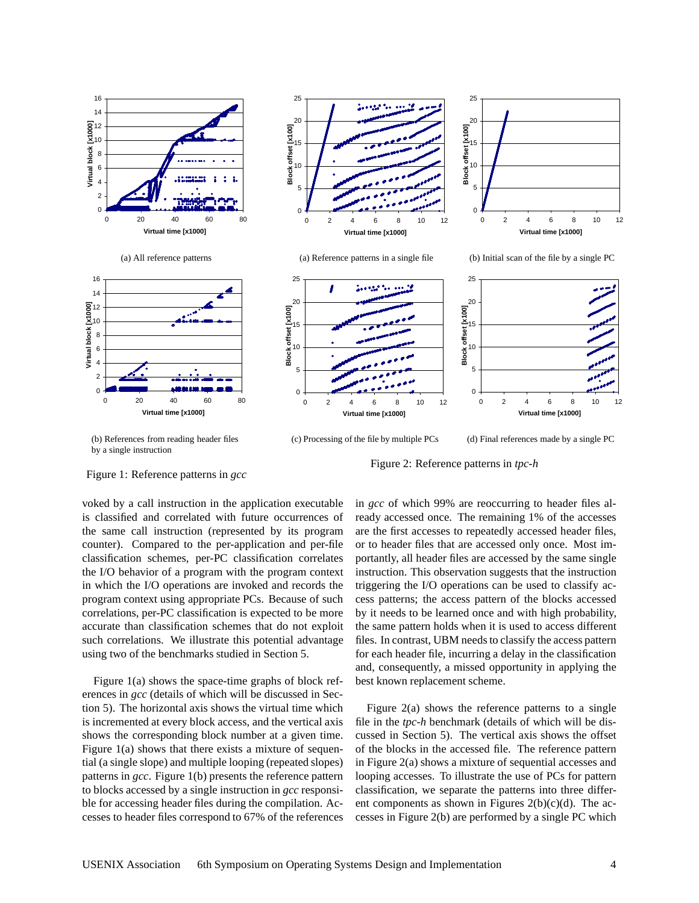

(b) References from reading header files by a single instruction

(c) Processing of the file by multiple PCs

(d) Final references made by a single PC

Figure 1: Reference patterns in *gcc*

voked by a call instruction in the application executable is classified and correlated with future occurrences of the same call instruction (represented by its program counter). Compared to the per-application and per-file classification schemes, per-PC classification correlates the I/O behavior of a program with the program context in which the I/O operations are invoked and records the program context using appropriate PCs. Because of such correlations, per-PC classification is expected to be more accurate than classification schemes that do not exploit such correlations. We illustrate this potential advantage using two of the benchmarks studied in Section 5.

Figure 1(a) shows the space-time graphs of block references in *gcc* (details of which will be discussed in Section 5). The horizontal axis shows the virtual time which is incremented at every block access, and the vertical axis shows the corresponding block number at a given time. Figure 1(a) shows that there exists a mixture of sequential (a single slope) and multiple looping (repeated slopes) patterns in *gcc*. Figure 1(b) presents the reference pattern to blocks accessed by a single instruction in *gcc* responsible for accessing header files during the compilation. Accesses to header files correspond to 67% of the references in *gcc* of which 99% are reoccurring to header files already accessed once. The remaining 1% of the accesses are the first accesses to repeatedly accessed header files, or to header files that are accessed only once. Most importantly, all header files are accessed by the same single instruction. This observation suggests that the instruction triggering the I/O operations can be used to classify access patterns; the access pattern of the blocks accessed by it needs to be learned once and with high probability, the same pattern holds when it is used to access different files. In contrast, UBM needs to classify the access pattern for each header file, incurring a delay in the classification and, consequently, a missed opportunity in applying the

Figure 2: Reference patterns in *tpc-h*

best known replacement scheme.

Figure  $2(a)$  shows the reference patterns to a single file in the *tpc-h* benchmark (details of which will be discussed in Section 5). The vertical axis shows the offset of the blocks in the accessed file. The reference pattern in Figure 2(a) shows a mixture of sequential accesses and looping accesses. To illustrate the use of PCs for pattern classification, we separate the patterns into three different components as shown in Figures  $2(b)(c)(d)$ . The accesses in Figure 2(b) are performed by a single PC which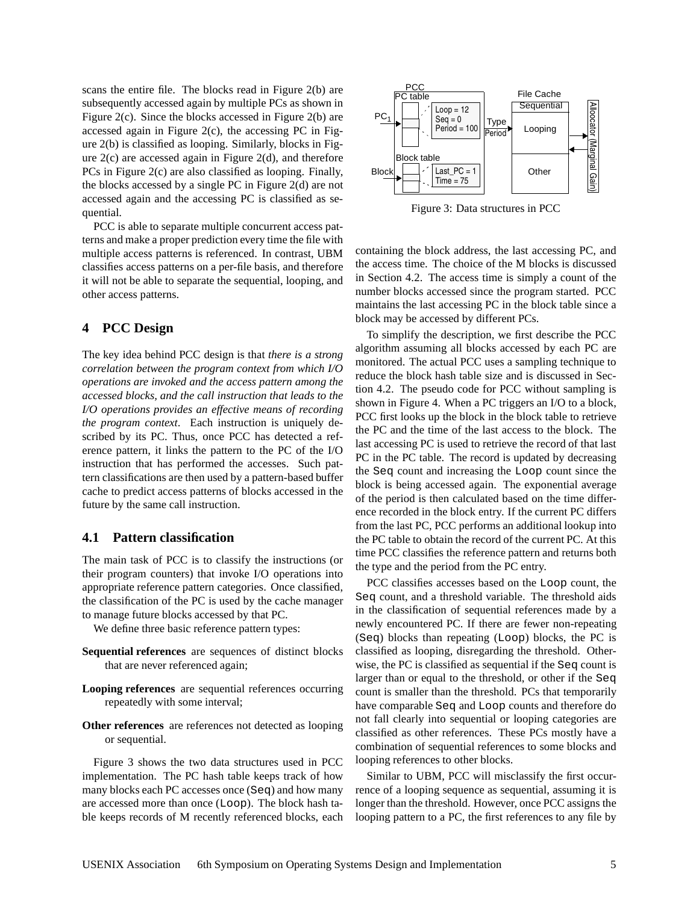scans the entire file. The blocks read in Figure 2(b) are subsequently accessed again by multiple PCs as shown in Figure 2(c). Since the blocks accessed in Figure 2(b) are accessed again in Figure 2 $(c)$ , the accessing PC in Figure 2(b) is classified as looping. Similarly, blocks in Figure 2(c) are accessed again in Figure 2(d), and therefore PCs in Figure 2(c) are also classified as looping. Finally, the blocks accessed by a single PC in Figure 2(d) are not accessed again and the accessing PC is classified as sequential.

PCC is able to separate multiple concurrent access patterns and make a proper prediction every time the file with multiple access patterns is referenced. In contrast, UBM classifies access patterns on a per-file basis, and therefore it will not be able to separate the sequential, looping, and other access patterns.

# **4 PCC Design**

The key idea behind PCC design is that *there is a strong correlation between the program context from which I/O operations are invoked and the access pattern among the accessed blocks, and the call instruction that leads to the I/O operations provides an effective means of recording the program context*. Each instruction is uniquely described by its PC. Thus, once PCC has detected a reference pattern, it links the pattern to the PC of the I/O instruction that has performed the accesses. Such pattern classifications are then used by a pattern-based buffer cache to predict access patterns of blocks accessed in the future by the same call instruction.

### **4.1 Pattern classification**

The main task of PCC is to classify the instructions (or their program counters) that invoke I/O operations into appropriate reference pattern categories. Once classified, the classification of the PC is used by the cache manager to manage future blocks accessed by that PC.

We define three basic reference pattern types:

- **Sequential references** are sequences of distinct blocks that are never referenced again;
- **Looping references** are sequential references occurring repeatedly with some interval;
- **Other references** are references not detected as looping or sequential.

Figure 3 shows the two data structures used in PCC implementation. The PC hash table keeps track of how many blocks each PC accesses once (Seq) and how many are accessed more than once (Loop). The block hash table keeps records of M recently referenced blocks, each



Figure 3: Data structures in PCC

containing the block address, the last accessing PC, and the access time. The choice of the M blocks is discussed in Section 4.2. The access time is simply a count of the number blocks accessed since the program started. PCC maintains the last accessing PC in the block table since a block may be accessed by different PCs.

To simplify the description, we first describe the PCC algorithm assuming all blocks accessed by each PC are monitored. The actual PCC uses a sampling technique to reduce the block hash table size and is discussed in Section 4.2. The pseudo code for PCC without sampling is shown in Figure 4. When a PC triggers an I/O to a block, PCC first looks up the block in the block table to retrieve the PC and the time of the last access to the block. The last accessing PC is used to retrieve the record of that last PC in the PC table. The record is updated by decreasing the Seq count and increasing the Loop count since the block is being accessed again. The exponential average of the period is then calculated based on the time difference recorded in the block entry. If the current PC differs from the last PC, PCC performs an additional lookup into the PC table to obtain the record of the current PC. At this time PCC classifies the reference pattern and returns both the type and the period from the PC entry.

PCC classifies accesses based on the Loop count, the Seq count, and a threshold variable. The threshold aids in the classification of sequential references made by a newly encountered PC. If there are fewer non-repeating (Seq) blocks than repeating (Loop) blocks, the PC is classified as looping, disregarding the threshold. Otherwise, the PC is classified as sequential if the Seq count is larger than or equal to the threshold, or other if the Seq count is smaller than the threshold. PCs that temporarily have comparable Seq and Loop counts and therefore do not fall clearly into sequential or looping categories are classified as other references. These PCs mostly have a combination of sequential references to some blocks and looping references to other blocks.

Similar to UBM, PCC will misclassify the first occurrence of a looping sequence as sequential, assuming it is longer than the threshold. However, once PCC assigns the looping pattern to a PC, the first references to any file by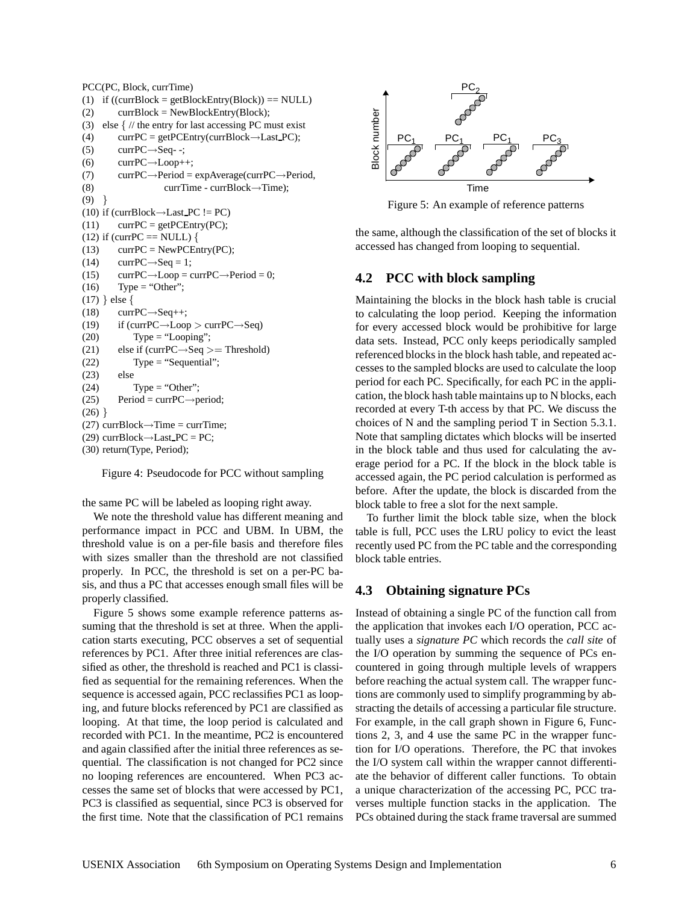PCC(PC, Block, currTime) (1) if  $((\text{currBlock} = \text{getBlockEntry}(\text{Block})) == \text{NULL})$ (2) currBlock = NewBlockEntry(Block); (3) else  $\frac{1}{2}$  // the entry for last accessing PC must exist (4) currPC = getPCEntry(currBlock $\rightarrow$ Last\_PC);  $(T5)$  currPC $\rightarrow$ Seq--; (6) currPC $\rightarrow$ Loop $++;$ (7) currPC $\rightarrow$ Period = expAverage(currPC $\rightarrow$ Period, (8) currTime - currBlock→Time);  $(9)$ } (10) if (currBlock $\rightarrow$ Last PC != PC)  $(11)$  currPC = getPCEntry(PC); (12) if (currPC == NULL) {  $(13)$  currPC = NewPCEntry(PC);  $(14)$  currPC $\rightarrow$ Seq = 1; (15) currPC $\rightarrow$ Loop = currPC $\rightarrow$ Period = 0;  $(16)$  Type = "Other"; (17) } else {  $(18)$  currPC $\rightarrow$ Seq $++;$ (19) if (currPC $\rightarrow$ Loop  $>$  currPC $\rightarrow$ Seq)  $(20)$  Type = "Looping"; (21) else if (currPC $\rightarrow$ Seq  $>$  = Threshold) (22) Type = "Sequential"; (23) else (24) Type = "Other"; (25) Period = currPC $\rightarrow$ period;  $(26)$ } (27) currBlock $\rightarrow$ Time = currTime; (29) currBlock $\rightarrow$ Last\_PC = PC; (30) return(Type, Period);

Figure 4: Pseudocode for PCC without sampling

the same PC will be labeled as looping right away.

We note the threshold value has different meaning and performance impact in PCC and UBM. In UBM, the threshold value is on a per-file basis and therefore files with sizes smaller than the threshold are not classified properly. In PCC, the threshold is set on a per-PC basis, and thus a PC that accesses enough small files will be properly classified.

Figure 5 shows some example reference patterns assuming that the threshold is set at three. When the application starts executing, PCC observes a set of sequential references by PC1. After three initial references are classified as other, the threshold is reached and PC1 is classified as sequential for the remaining references. When the sequence is accessed again, PCC reclassifies PC1 as looping, and future blocks referenced by PC1 are classified as looping. At that time, the loop period is calculated and recorded with PC1. In the meantime, PC2 is encountered and again classified after the initial three references as sequential. The classification is not changed for PC2 since no looping references are encountered. When PC3 accesses the same set of blocks that were accessed by PC1, PC3 is classified as sequential, since PC3 is observed for the first time. Note that the classification of PC1 remains



Figure 5: An example of reference patterns

the same, although the classification of the set of blocks it accessed has changed from looping to sequential.

# **4.2 PCC with block sampling**

Maintaining the blocks in the block hash table is crucial to calculating the loop period. Keeping the information for every accessed block would be prohibitive for large data sets. Instead, PCC only keeps periodically sampled referenced blocks in the block hash table, and repeated accesses to the sampled blocks are used to calculate the loop period for each PC. Specifically, for each PC in the application, the block hash table maintains up to N blocks, each recorded at every T-th access by that PC. We discuss the choices of N and the sampling period T in Section 5.3.1. Note that sampling dictates which blocks will be inserted in the block table and thus used for calculating the average period for a PC. If the block in the block table is accessed again, the PC period calculation is performed as before. After the update, the block is discarded from the block table to free a slot for the next sample.

To further limit the block table size, when the block table is full, PCC uses the LRU policy to evict the least recently used PC from the PC table and the corresponding block table entries.

# **4.3 Obtaining signature PCs**

Instead of obtaining a single PC of the function call from the application that invokes each I/O operation, PCC actually uses a *signature PC* which records the *call site* of the I/O operation by summing the sequence of PCs encountered in going through multiple levels of wrappers before reaching the actual system call. The wrapper functions are commonly used to simplify programming by abstracting the details of accessing a particular file structure. For example, in the call graph shown in Figure 6, Functions 2, 3, and 4 use the same PC in the wrapper function for I/O operations. Therefore, the PC that invokes the I/O system call within the wrapper cannot differentiate the behavior of different caller functions. To obtain a unique characterization of the accessing PC, PCC traverses multiple function stacks in the application. The PCs obtained during the stack frame traversal are summed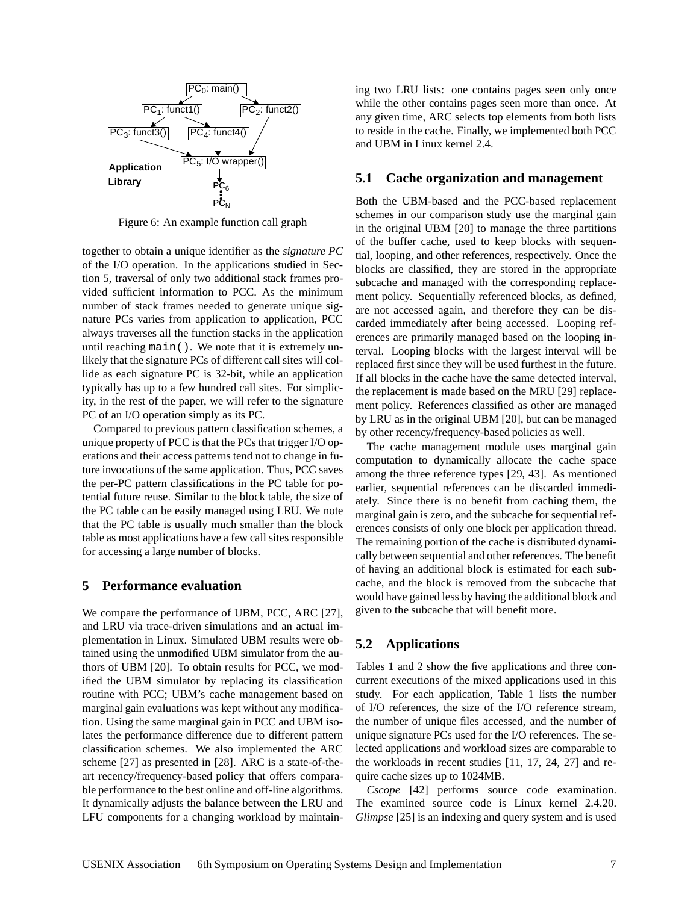

Figure 6: An example function call graph

together to obtain a unique identifier as the *signature PC* of the I/O operation. In the applications studied in Section 5, traversal of only two additional stack frames provided sufficient information to PCC. As the minimum number of stack frames needed to generate unique signature PCs varies from application to application, PCC always traverses all the function stacks in the application until reaching main(). We note that it is extremely unlikely that the signature PCs of different call sites will collide as each signature PC is 32-bit, while an application typically has up to a few hundred call sites. For simplicity, in the rest of the paper, we will refer to the signature PC of an I/O operation simply as its PC.

Compared to previous pattern classification schemes, a unique property of PCC is that the PCs that trigger I/O operations and their access patterns tend not to change in future invocations of the same application. Thus, PCC saves the per-PC pattern classifications in the PC table for potential future reuse. Similar to the block table, the size of the PC table can be easily managed using LRU. We note that the PC table is usually much smaller than the block table as most applications have a few call sites responsible for accessing a large number of blocks.

#### **5 Performance evaluation**

We compare the performance of UBM, PCC, ARC [27], and LRU via trace-driven simulations and an actual implementation in Linux. Simulated UBM results were obtained using the unmodified UBM simulator from the authors of UBM [20]. To obtain results for PCC, we modified the UBM simulator by replacing its classification routine with PCC; UBM's cache management based on marginal gain evaluations was kept without any modification. Using the same marginal gain in PCC and UBM isolates the performance difference due to different pattern classification schemes. We also implemented the ARC scheme [27] as presented in [28]. ARC is a state-of-theart recency/frequency-based policy that offers comparable performance to the best online and off-line algorithms. It dynamically adjusts the balance between the LRU and LFU components for a changing workload by maintain-

ing two LRU lists: one contains pages seen only once while the other contains pages seen more than once. At any given time, ARC selects top elements from both lists to reside in the cache. Finally, we implemented both PCC and UBM in Linux kernel 2.4.

### **5.1 Cache organization and management**

Both the UBM-based and the PCC-based replacement schemes in our comparison study use the marginal gain in the original UBM [20] to manage the three partitions of the buffer cache, used to keep blocks with sequential, looping, and other references, respectively. Once the blocks are classified, they are stored in the appropriate subcache and managed with the corresponding replacement policy. Sequentially referenced blocks, as defined, are not accessed again, and therefore they can be discarded immediately after being accessed. Looping references are primarily managed based on the looping interval. Looping blocks with the largest interval will be replaced first since they will be used furthest in the future. If all blocks in the cache have the same detected interval, the replacement is made based on the MRU [29] replacement policy. References classified as other are managed by LRU as in the original UBM [20], but can be managed by other recency/frequency-based policies as well.

The cache management module uses marginal gain computation to dynamically allocate the cache space among the three reference types [29, 43]. As mentioned earlier, sequential references can be discarded immediately. Since there is no benefit from caching them, the marginal gain is zero, and the subcache for sequential references consists of only one block per application thread. The remaining portion of the cache is distributed dynamically between sequential and other references. The benefit of having an additional block is estimated for each subcache, and the block is removed from the subcache that would have gained less by having the additional block and given to the subcache that will benefit more.

# **5.2 Applications**

Tables 1 and 2 show the five applications and three concurrent executions of the mixed applications used in this study. For each application, Table 1 lists the number of I/O references, the size of the I/O reference stream, the number of unique files accessed, and the number of unique signature PCs used for the I/O references. The selected applications and workload sizes are comparable to the workloads in recent studies [11, 17, 24, 27] and require cache sizes up to 1024MB.

*Cscope* [42] performs source code examination. The examined source code is Linux kernel 2.4.20. *Glimpse* [25] is an indexing and query system and is used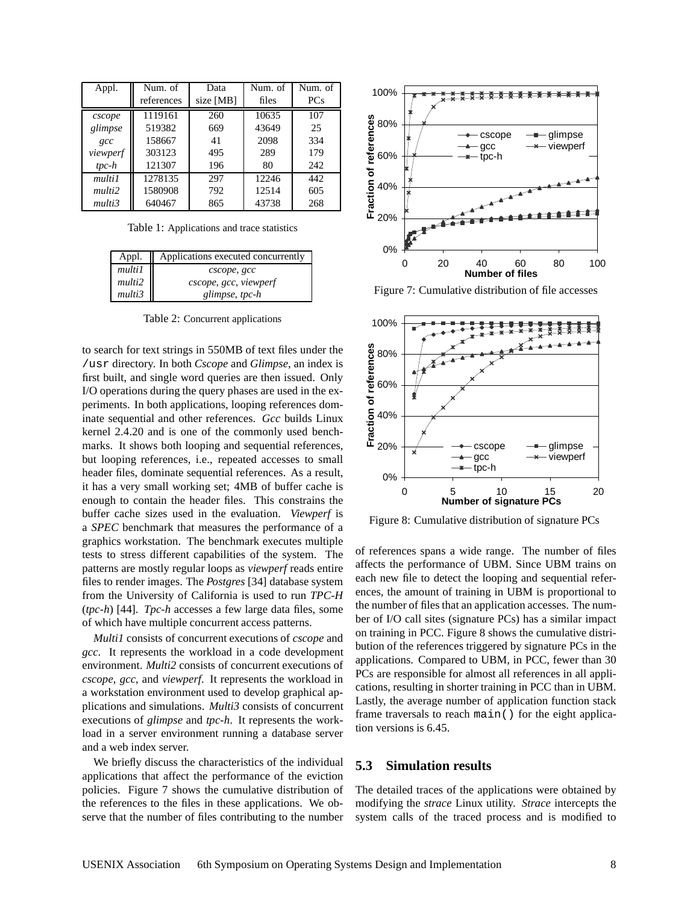| Appl.    | Num. of    | Data      | Num. of | Num. of    |
|----------|------------|-----------|---------|------------|
|          | references | size [MB] | files   | <b>PCs</b> |
| cscope   | 1119161    | 260       | 10635   | 107        |
| glimpse  | 519382     | 669       | 43649   | 25         |
| $\alpha$ | 158667     | 41        | 2098    | 334        |
| viewperf | 303123     | 495       | 289     | 179        |
| $tpc-h$  | 121307     | 196       | 80      | 242        |
| multi1   | 1278135    | 297       | 12246   | 442        |
| multi2   | 1580908    | 792       | 12514   | 605        |
| multi3   | 640467     | 865       | 43738   | 268        |

Table 1: Applications and trace statistics

| Appl.  | Applications executed concurrently |  |
|--------|------------------------------------|--|
| multi1 | cscope, gcc                        |  |
| multi2 | cscope, gcc, viewperf              |  |
| multi3 | glimpse, tpc-h                     |  |

Table 2: Concurrent applications

to search for text strings in 550MB of text files under the /usr directory. In both *Cscope* and *Glimpse*, an index is first built, and single word queries are then issued. Only I/O operations during the query phases are used in the experiments. In both applications, looping references dominate sequential and other references. *Gcc* builds Linux kernel 2.4.20 and is one of the commonly used benchmarks. It shows both looping and sequential references, but looping references, i.e., repeated accesses to small header files, dominate sequential references. As a result, it has a very small working set; 4MB of buffer cache is enough to contain the header files. This constrains the buffer cache sizes used in the evaluation. *Viewperf* is a *SPEC* benchmark that measures the performance of a graphics workstation. The benchmark executes multiple tests to stress different capabilities of the system. The patterns are mostly regular loops as *viewperf* reads entire files to render images. The *Postgres* [34] database system from the University of California is used to run *TPC-H* (*tpc-h*) [44]. *Tpc-h* accesses a few large data files, some of which have multiple concurrent access patterns.

*Multi1* consists of concurrent executions of *cscope* and *gcc*. It represents the workload in a code development environment. *Multi2* consists of concurrent executions of *cscope*, *gcc*, and *viewperf*. It represents the workload in a workstation environment used to develop graphical applications and simulations. *Multi3* consists of concurrent executions of *glimpse* and *tpc-h*. It represents the workload in a server environment running a database server and a web index server.

We briefly discuss the characteristics of the individual applications that affect the performance of the eviction policies. Figure 7 shows the cumulative distribution of the references to the files in these applications. We observe that the number of files contributing to the number



Figure 7: Cumulative distribution of file accesses



Figure 8: Cumulative distribution of signature PCs

of references spans a wide range. The number of files affects the performance of UBM. Since UBM trains on each new file to detect the looping and sequential references, the amount of training in UBM is proportional to the number of files that an application accesses. The number of I/O call sites (signature PCs) has a similar impact on training in PCC. Figure 8 shows the cumulative distribution of the references triggered by signature PCs in the applications. Compared to UBM, in PCC, fewer than 30 PCs are responsible for almost all references in all applications, resulting in shorter training in PCC than in UBM. Lastly, the average number of application function stack frame traversals to reach main() for the eight application versions is 6.45.

# **5.3 Simulation results**

The detailed traces of the applications were obtained by modifying the *strace* Linux utility. *Strace* intercepts the system calls of the traced process and is modified to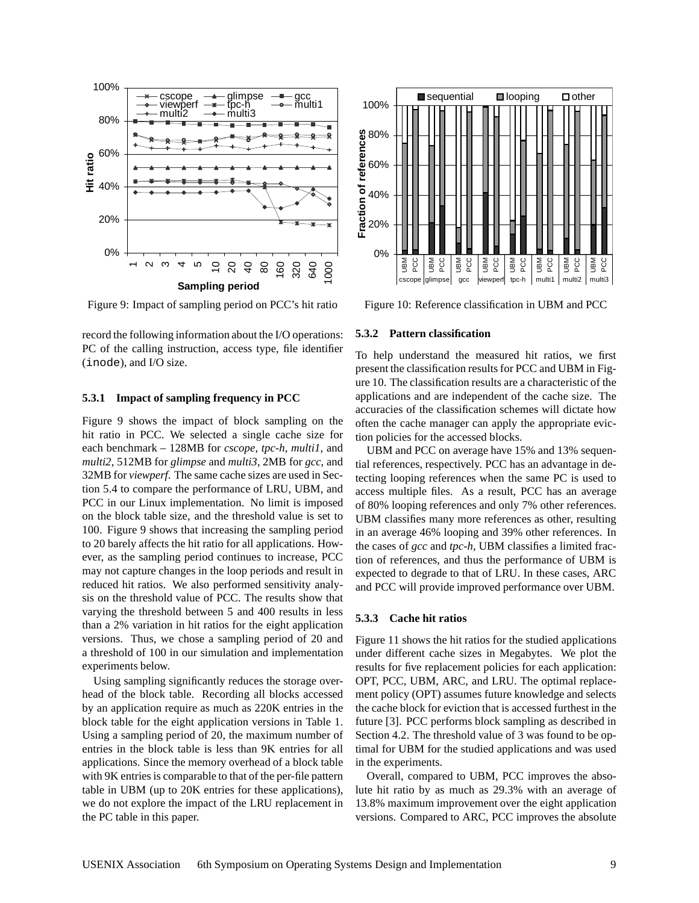

Figure 9: Impact of sampling period on PCC's hit ratio

record the following information about the I/O operations: PC of the calling instruction, access type, file identifier (inode), and I/O size.

#### **5.3.1 Impact of sampling frequency in PCC**

Figure 9 shows the impact of block sampling on the hit ratio in PCC. We selected a single cache size for each benchmark – 128MB for *cscope*, *tpc-h*, *multi1*, and *multi2*, 512MB for *glimpse* and *multi3*, 2MB for *gcc*, and 32MB for *viewperf*. The same cache sizes are used in Section 5.4 to compare the performance of LRU, UBM, and PCC in our Linux implementation. No limit is imposed on the block table size, and the threshold value is set to 100. Figure 9 shows that increasing the sampling period to 20 barely affects the hit ratio for all applications. However, as the sampling period continues to increase, PCC may not capture changes in the loop periods and result in reduced hit ratios. We also performed sensitivity analysis on the threshold value of PCC. The results show that varying the threshold between 5 and 400 results in less than a 2% variation in hit ratios for the eight application versions. Thus, we chose a sampling period of 20 and a threshold of 100 in our simulation and implementation experiments below.

Using sampling significantly reduces the storage overhead of the block table. Recording all blocks accessed by an application require as much as 220K entries in the block table for the eight application versions in Table 1. Using a sampling period of 20, the maximum number of entries in the block table is less than 9K entries for all applications. Since the memory overhead of a block table with 9K entries is comparable to that of the per-file pattern table in UBM (up to 20K entries for these applications), we do not explore the impact of the LRU replacement in the PC table in this paper.



Figure 10: Reference classification in UBM and PCC

#### **5.3.2 Pattern classification**

To help understand the measured hit ratios, we first present the classification results for PCC and UBM in Figure 10. The classification results are a characteristic of the applications and are independent of the cache size. The accuracies of the classification schemes will dictate how often the cache manager can apply the appropriate eviction policies for the accessed blocks.

UBM and PCC on average have 15% and 13% sequential references, respectively. PCC has an advantage in detecting looping references when the same PC is used to access multiple files. As a result, PCC has an average of 80% looping references and only 7% other references. UBM classifies many more references as other, resulting in an average 46% looping and 39% other references. In the cases of *gcc* and *tpc-h*, UBM classifies a limited fraction of references, and thus the performance of UBM is expected to degrade to that of LRU. In these cases, ARC and PCC will provide improved performance over UBM.

#### **5.3.3 Cache hit ratios**

Figure 11 shows the hit ratios for the studied applications under different cache sizes in Megabytes. We plot the results for five replacement policies for each application: OPT, PCC, UBM, ARC, and LRU. The optimal replacement policy (OPT) assumes future knowledge and selects the cache block for eviction that is accessed furthest in the future [3]. PCC performs block sampling as described in Section 4.2. The threshold value of 3 was found to be optimal for UBM for the studied applications and was used in the experiments.

Overall, compared to UBM, PCC improves the absolute hit ratio by as much as 29.3% with an average of 13.8% maximum improvement over the eight application versions. Compared to ARC, PCC improves the absolute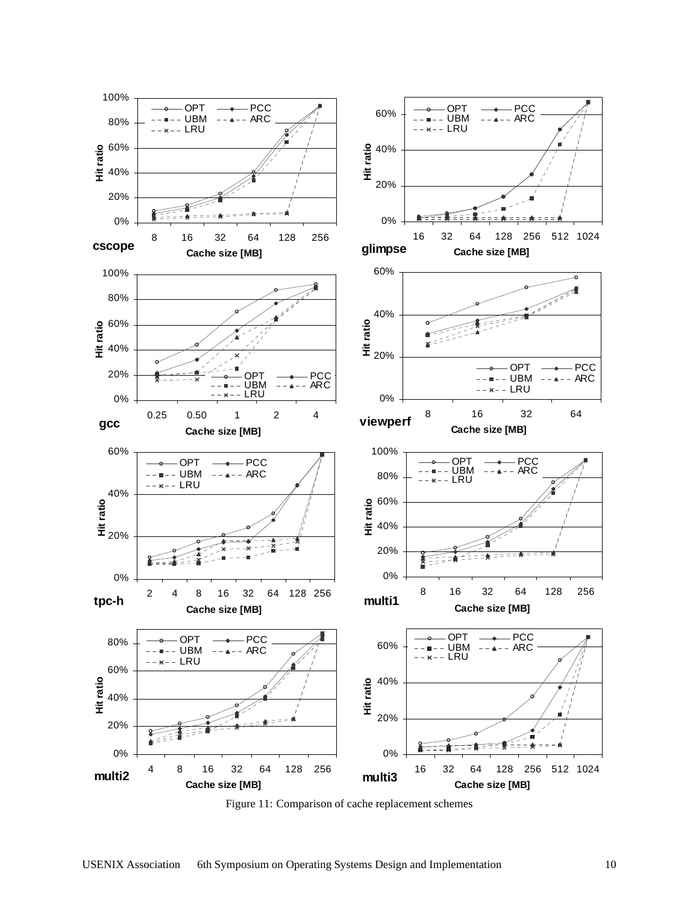

Figure 11: Comparison of cache replacement schemes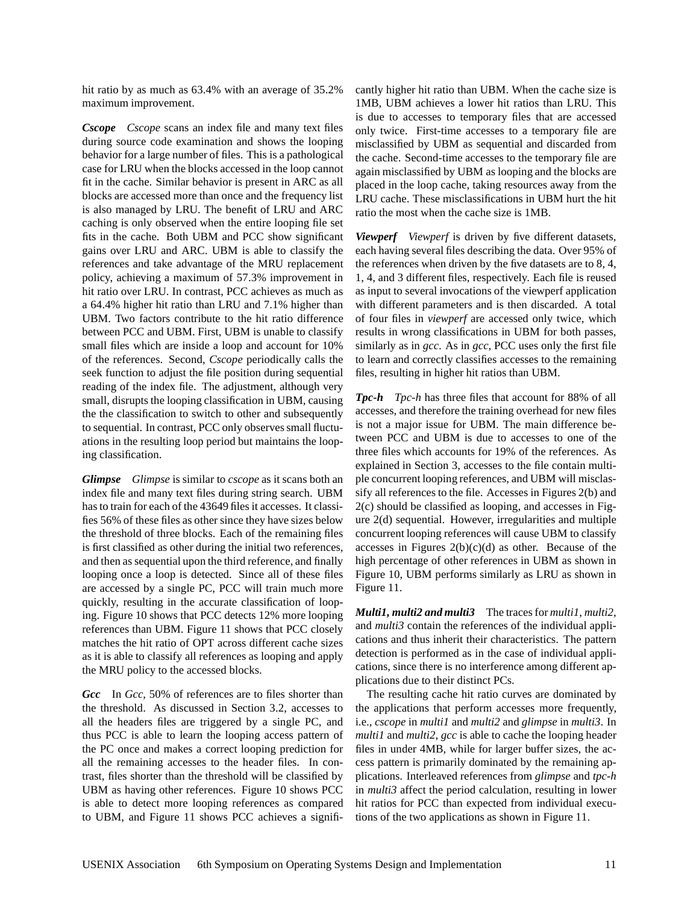hit ratio by as much as 63.4% with an average of 35.2% maximum improvement.

*Cscope Cscope* scans an index file and many text files during source code examination and shows the looping behavior for a large number of files. This is a pathological case for LRU when the blocks accessed in the loop cannot fit in the cache. Similar behavior is present in ARC as all blocks are accessed more than once and the frequency list is also managed by LRU. The benefit of LRU and ARC caching is only observed when the entire looping file set fits in the cache. Both UBM and PCC show significant gains over LRU and ARC. UBM is able to classify the references and take advantage of the MRU replacement policy, achieving a maximum of 57.3% improvement in hit ratio over LRU. In contrast, PCC achieves as much as a 64.4% higher hit ratio than LRU and 7.1% higher than UBM. Two factors contribute to the hit ratio difference between PCC and UBM. First, UBM is unable to classify small files which are inside a loop and account for 10% of the references. Second, *Cscope* periodically calls the seek function to adjust the file position during sequential reading of the index file. The adjustment, although very small, disrupts the looping classification in UBM, causing the the classification to switch to other and subsequently to sequential. In contrast, PCC only observes small fluctuations in the resulting loop period but maintains the looping classification.

*Glimpse Glimpse* is similar to *cscope* as it scans both an index file and many text files during string search. UBM has to train for each of the 43649 files it accesses. It classifies 56% of these files as other since they have sizes below the threshold of three blocks. Each of the remaining files is first classified as other during the initial two references, and then as sequential upon the third reference, and finally looping once a loop is detected. Since all of these files are accessed by a single PC, PCC will train much more quickly, resulting in the accurate classification of looping. Figure 10 shows that PCC detects 12% more looping references than UBM. Figure 11 shows that PCC closely matches the hit ratio of OPT across different cache sizes as it is able to classify all references as looping and apply the MRU policy to the accessed blocks.

*Gcc* In *Gcc*, 50% of references are to files shorter than the threshold. As discussed in Section 3.2, accesses to all the headers files are triggered by a single PC, and thus PCC is able to learn the looping access pattern of the PC once and makes a correct looping prediction for all the remaining accesses to the header files. In contrast, files shorter than the threshold will be classified by UBM as having other references. Figure 10 shows PCC is able to detect more looping references as compared to UBM, and Figure 11 shows PCC achieves a significantly higher hit ratio than UBM. When the cache size is 1MB, UBM achieves a lower hit ratios than LRU. This is due to accesses to temporary files that are accessed only twice. First-time accesses to a temporary file are misclassified by UBM as sequential and discarded from the cache. Second-time accesses to the temporary file are again misclassified by UBM as looping and the blocks are placed in the loop cache, taking resources away from the LRU cache. These misclassifications in UBM hurt the hit ratio the most when the cache size is 1MB.

*Viewperf Viewperf* is driven by five different datasets, each having several files describing the data. Over 95% of the references when driven by the five datasets are to 8, 4, 1, 4, and 3 different files, respectively. Each file is reused as input to several invocations of the viewperf application with different parameters and is then discarded. A total of four files in *viewperf* are accessed only twice, which results in wrong classifications in UBM for both passes, similarly as in *gcc*. As in *gcc*, PCC uses only the first file to learn and correctly classifies accesses to the remaining files, resulting in higher hit ratios than UBM.

*Tpc-h Tpc-h* has three files that account for 88% of all accesses, and therefore the training overhead for new files is not a major issue for UBM. The main difference between PCC and UBM is due to accesses to one of the three files which accounts for 19% of the references. As explained in Section 3, accesses to the file contain multiple concurrent looping references, and UBM will misclassify all references to the file. Accesses in Figures 2(b) and 2(c) should be classified as looping, and accesses in Figure 2(d) sequential. However, irregularities and multiple concurrent looping references will cause UBM to classify accesses in Figures  $2(b)(c)(d)$  as other. Because of the high percentage of other references in UBM as shown in Figure 10, UBM performs similarly as LRU as shown in Figure 11.

*Multi1, multi2 and multi3* The traces for *multi1*, *multi2*, and *multi3* contain the references of the individual applications and thus inherit their characteristics. The pattern detection is performed as in the case of individual applications, since there is no interference among different applications due to their distinct PCs.

The resulting cache hit ratio curves are dominated by the applications that perform accesses more frequently, i.e., *cscope* in *multi1* and *multi2* and *glimpse* in *multi3*. In *multi1* and *multi2*, *gcc* is able to cache the looping header files in under 4MB, while for larger buffer sizes, the access pattern is primarily dominated by the remaining applications. Interleaved references from *glimpse* and *tpc-h* in *multi3* affect the period calculation, resulting in lower hit ratios for PCC than expected from individual executions of the two applications as shown in Figure 11.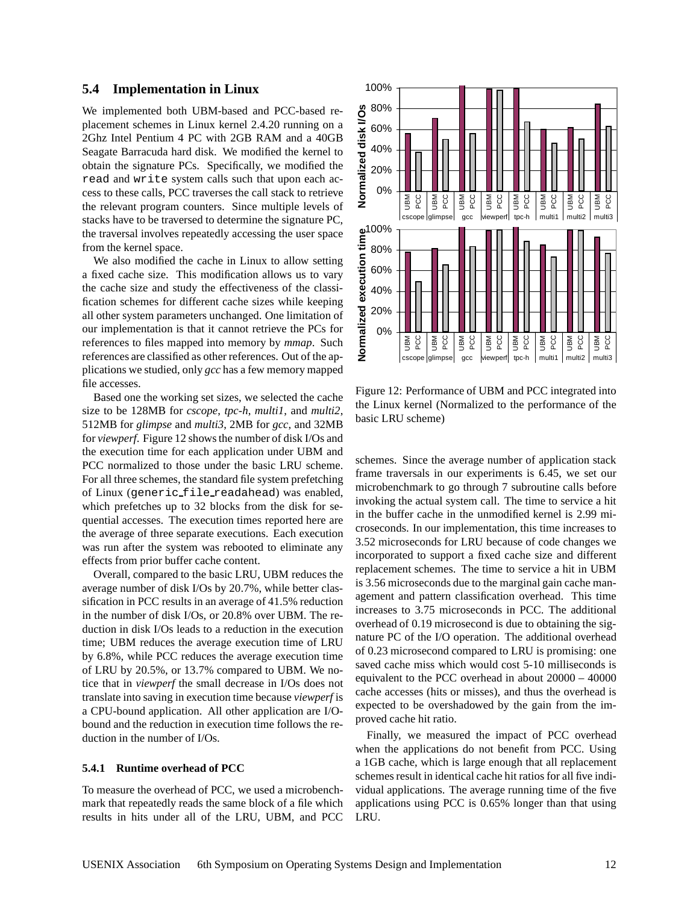#### **5.4 Implementation in Linux**

We implemented both UBM-based and PCC-based replacement schemes in Linux kernel 2.4.20 running on a 2Ghz Intel Pentium 4 PC with 2GB RAM and a 40GB Seagate Barracuda hard disk. We modified the kernel to obtain the signature PCs. Specifically, we modified the read and write system calls such that upon each access to these calls, PCC traverses the call stack to retrieve the relevant program counters. Since multiple levels of stacks have to be traversed to determine the signature PC, the traversal involves repeatedly accessing the user space from the kernel space.

We also modified the cache in Linux to allow setting a fixed cache size. This modification allows us to vary the cache size and study the effectiveness of the classification schemes for different cache sizes while keeping all other system parameters unchanged. One limitation of our implementation is that it cannot retrieve the PCs for references to files mapped into memory by *mmap*. Such references are classified as other references. Out of the applications we studied, only *gcc* has a few memory mapped file accesses.

Based one the working set sizes, we selected the cache size to be 128MB for *cscope*, *tpc-h*, *multi1*, and *multi2*, 512MB for *glimpse* and *multi3*, 2MB for *gcc*, and 32MB for *viewperf*. Figure 12 shows the number of disk I/Os and the execution time for each application under UBM and PCC normalized to those under the basic LRU scheme. For all three schemes, the standard file system prefetching of Linux (generic file readahead) was enabled, which prefetches up to 32 blocks from the disk for sequential accesses. The execution times reported here are the average of three separate executions. Each execution was run after the system was rebooted to eliminate any effects from prior buffer cache content.

Overall, compared to the basic LRU, UBM reduces the average number of disk I/Os by 20.7%, while better classification in PCC results in an average of 41.5% reduction in the number of disk I/Os, or 20.8% over UBM. The reduction in disk I/Os leads to a reduction in the execution time; UBM reduces the average execution time of LRU by 6.8%, while PCC reduces the average execution time of LRU by 20.5%, or 13.7% compared to UBM. We notice that in *viewperf* the small decrease in I/Os does not translate into saving in execution time because *viewperf* is a CPU-bound application. All other application are I/Obound and the reduction in execution time follows the reduction in the number of I/Os.

#### **5.4.1 Runtime overhead of PCC**

To measure the overhead of PCC, we used a microbenchmark that repeatedly reads the same block of a file which results in hits under all of the LRU, UBM, and PCC



Figure 12: Performance of UBM and PCC integrated into the Linux kernel (Normalized to the performance of the basic LRU scheme)

schemes. Since the average number of application stack frame traversals in our experiments is 6.45, we set our microbenchmark to go through 7 subroutine calls before invoking the actual system call. The time to service a hit in the buffer cache in the unmodified kernel is 2.99 microseconds. In our implementation, this time increases to 3.52 microseconds for LRU because of code changes we incorporated to support a fixed cache size and different replacement schemes. The time to service a hit in UBM is 3.56 microseconds due to the marginal gain cache management and pattern classification overhead. This time increases to 3.75 microseconds in PCC. The additional overhead of 0.19 microsecond is due to obtaining the signature PC of the I/O operation. The additional overhead of 0.23 microsecond compared to LRU is promising: one saved cache miss which would cost 5-10 milliseconds is equivalent to the PCC overhead in about 20000 – 40000 cache accesses (hits or misses), and thus the overhead is expected to be overshadowed by the gain from the improved cache hit ratio.

Finally, we measured the impact of PCC overhead when the applications do not benefit from PCC. Using a 1GB cache, which is large enough that all replacement schemes result in identical cache hit ratios for all five individual applications. The average running time of the five applications using PCC is 0.65% longer than that using LRU.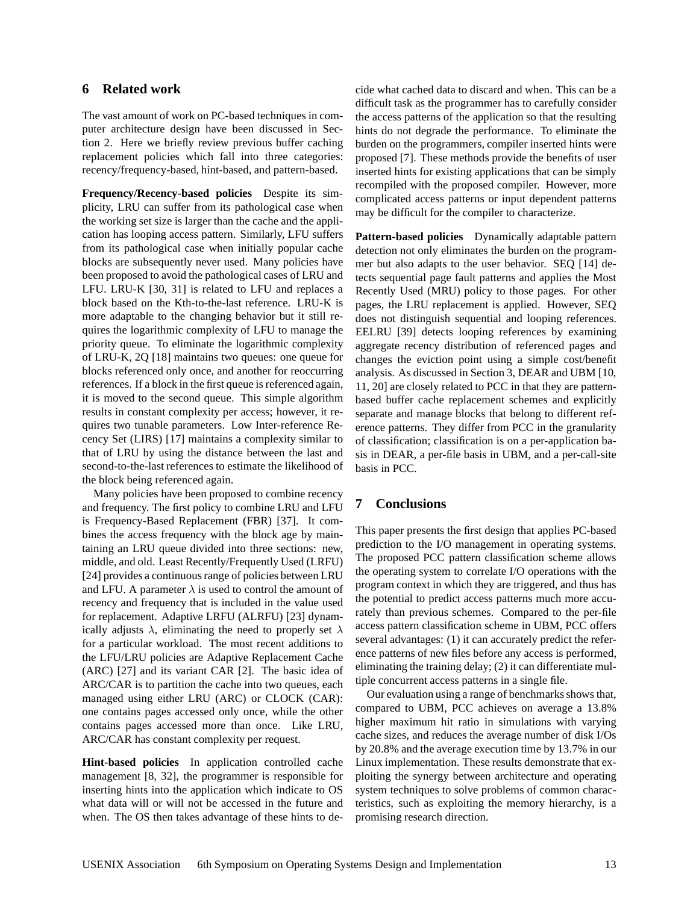# **6 Related work**

The vast amount of work on PC-based techniques in computer architecture design have been discussed in Section 2. Here we briefly review previous buffer caching replacement policies which fall into three categories: recency/frequency-based, hint-based, and pattern-based.

**Frequency/Recency-based policies** Despite its simplicity, LRU can suffer from its pathological case when the working set size is larger than the cache and the application has looping access pattern. Similarly, LFU suffers from its pathological case when initially popular cache blocks are subsequently never used. Many policies have been proposed to avoid the pathological cases of LRU and LFU. LRU-K [30, 31] is related to LFU and replaces a block based on the Kth-to-the-last reference. LRU-K is more adaptable to the changing behavior but it still requires the logarithmic complexity of LFU to manage the priority queue. To eliminate the logarithmic complexity of LRU-K, 2Q [18] maintains two queues: one queue for blocks referenced only once, and another for reoccurring references. If a block in the first queue is referenced again, it is moved to the second queue. This simple algorithm results in constant complexity per access; however, it requires two tunable parameters. Low Inter-reference Recency Set (LIRS) [17] maintains a complexity similar to that of LRU by using the distance between the last and second-to-the-last references to estimate the likelihood of the block being referenced again.

Many policies have been proposed to combine recency and frequency. The first policy to combine LRU and LFU is Frequency-Based Replacement (FBR) [37]. It combines the access frequency with the block age by maintaining an LRU queue divided into three sections: new, middle, and old. Least Recently/Frequently Used (LRFU) [24] provides a continuous range of policies between LRU and LFU. A parameter  $\lambda$  is used to control the amount of recency and frequency that is included in the value used for replacement. Adaptive LRFU (ALRFU) [23] dynamically adjusts  $\lambda$ , eliminating the need to properly set  $\lambda$ for a particular workload. The most recent additions to the LFU/LRU policies are Adaptive Replacement Cache (ARC) [27] and its variant CAR [2]. The basic idea of ARC/CAR is to partition the cache into two queues, each managed using either LRU (ARC) or CLOCK (CAR): one contains pages accessed only once, while the other contains pages accessed more than once. Like LRU, ARC/CAR has constant complexity per request.

**Hint-based policies** In application controlled cache management [8, 32], the programmer is responsible for inserting hints into the application which indicate to OS what data will or will not be accessed in the future and when. The OS then takes advantage of these hints to de-

cide what cached data to discard and when. This can be a difficult task as the programmer has to carefully consider the access patterns of the application so that the resulting hints do not degrade the performance. To eliminate the burden on the programmers, compiler inserted hints were proposed [7]. These methods provide the benefits of user inserted hints for existing applications that can be simply recompiled with the proposed compiler. However, more complicated access patterns or input dependent patterns may be difficult for the compiler to characterize.

**Pattern-based policies** Dynamically adaptable pattern detection not only eliminates the burden on the programmer but also adapts to the user behavior. SEQ [14] detects sequential page fault patterns and applies the Most Recently Used (MRU) policy to those pages. For other pages, the LRU replacement is applied. However, SEQ does not distinguish sequential and looping references. EELRU [39] detects looping references by examining aggregate recency distribution of referenced pages and changes the eviction point using a simple cost/benefit analysis. As discussed in Section 3, DEAR and UBM [10, 11, 20] are closely related to PCC in that they are patternbased buffer cache replacement schemes and explicitly separate and manage blocks that belong to different reference patterns. They differ from PCC in the granularity of classification; classification is on a per-application basis in DEAR, a per-file basis in UBM, and a per-call-site basis in PCC.

# **7 Conclusions**

This paper presents the first design that applies PC-based prediction to the I/O management in operating systems. The proposed PCC pattern classification scheme allows the operating system to correlate I/O operations with the program context in which they are triggered, and thus has the potential to predict access patterns much more accurately than previous schemes. Compared to the per-file access pattern classification scheme in UBM, PCC offers several advantages: (1) it can accurately predict the reference patterns of new files before any access is performed, eliminating the training delay; (2) it can differentiate multiple concurrent access patterns in a single file.

Our evaluation using a range of benchmarks shows that, compared to UBM, PCC achieves on average a 13.8% higher maximum hit ratio in simulations with varying cache sizes, and reduces the average number of disk I/Os by 20.8% and the average execution time by 13.7% in our Linux implementation. These results demonstrate that exploiting the synergy between architecture and operating system techniques to solve problems of common characteristics, such as exploiting the memory hierarchy, is a promising research direction.